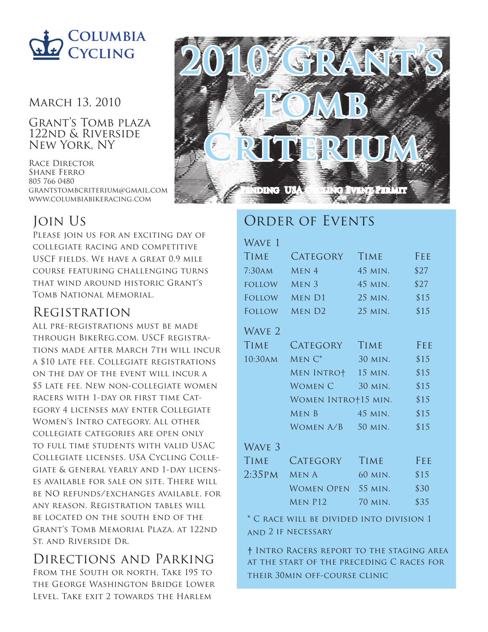

#### March 13, 2010

Grant's Tomb plaza 122nd & Riverside New York, NY

Race Director Shane Ferro 805 766 0480 grantstombcriterium@gmail.com www.columbiabikeracing.com

# Join Us

PLEASE JOIN US FOR AN EXCITING DAY OF collegiate racing and competitive USCF fields. We have a great 0.9 mile course featuring challenging turns that wind around historic Grant's Tomb National Memorial.

## Registration

All pre-registrations must be made through BikeReg.com. USCF registrations made after March 7th will incur a \$10 late fee. Collegiate registrations on the day of the event will incur a \$5 late fee. New non-collegiate women racers with 1-day or first time Category 4 licenses may enter Collegiate Women's Intro category. All other collegiate categories are open only to full time students with valid USAC Collegiate licenses. USA Cycling Collegiate & general yearly and 1-day licenses available for sale on site. There will be NO refunds/exchanges available, for any reason. Registration tables will be located on the south end of the Grant's Tomb Memorial Plaza, at 122nd St. and Riverside Dr.

# Directions and Parking

FROM THE SOUTH OR NORTH, TAKE 195 TO the George Washington Bridge Lower Level. Take exit 2 towards the Harlem



## ORDER OF EVENTS

## WAVE 1 Time Category Time Fee 7:30am MEN 4 45 MIN. \$27 FOLLOW MEN  $3$  45 min.  $$27$ FOLLOW MEN D1 25 MIN. \$15 FOLLOW MEN D2 25 MIN. \$15 WAVE<sub>2</sub> Time Category Time Fee 10:30am Men C\* 30 min. \$15 Men Intro† 15 min. \$15 WOMEN  $C = 30$  MIN.  $$15$ WOMEN INTRO+15 MIN. \$15 MEN B 45 MIN. \$15 WOMEN  $A/B$  50 MIN. \$15 Wave 3

| <b>CATEGORY</b> | <b>TIME</b> | FEE        |
|-----------------|-------------|------------|
| $2:35PM$ MENA   | 60 MIN.     | \$15       |
|                 | 55 MIN.     | \$30       |
| MEN P12         | 70 MIN.     | \$35       |
|                 |             | Women Open |

**\*** C race will be divided into division 1 and 2 if necessary

**†** Intro Racers report to the staging area at the start of the preceding C races for their 30min off-course clinic